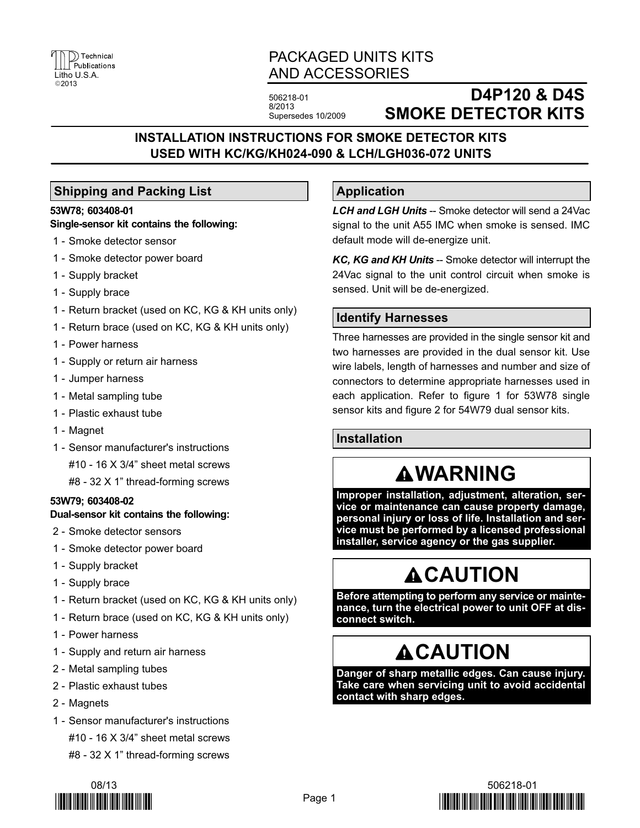

# PACKAGED UNITS KITS AND ACCESSORIES

**Application**

506218-01 8/2013 Supersedes 10/2009

# **D4P120 & D4S SMOKE DETECTOR KITS**

# **INSTALLATION INSTRUCTIONS FOR SMOKE DETECTOR KITS USED WITH KC/KG/KH024-090 & LCH/LGH036-072 UNITS**

## **Shipping and Packing List**

### **53W78; 603408-01**

### **Single-sensor kit contains the following:**

- 1 Smoke detector sensor
- 1 Smoke detector power board
- 1 Supply bracket
- 1 Supply brace
- 1 Return bracket (used on KC, KG & KH units only)
- 1 Return brace (used on KC, KG & KH units only)
- 1 Power harness
- 1 Supply or return air harness
- 1 Jumper harness
- 1 Metal sampling tube
- 1 Plastic exhaust tube
- 1 Magnet
- 1 Sensor manufacturer's instructions

#10 - 16 X 3/4" sheet metal screws

#8 - 32 X 1" thread-forming screws

### **53W79; 603408-02**

### **Dual-sensor kit contains the following:**

- 2 Smoke detector sensors
- 1 Smoke detector power board
- 1 Supply bracket
- 1 Supply brace
- 1 Return bracket (used on KC, KG & KH units only)
- 1 Return brace (used on KC, KG & KH units only)
- 1 Power harness
- 1 Supply and return air harness
- 2 Metal sampling tubes
- 2 Plastic exhaust tubes
- 2 Magnets
- 1 Sensor manufacturer's instructions #10 - 16 X 3/4" sheet metal screws #8 - 32 X 1" thread-forming screws



## Page 1

## *KC, KG and KH Units* -- Smoke detector will interrupt the 24Vac signal to the unit control circuit when smoke is sensed. Unit will be de-energized.

## **Identify Harnesses**

default mode will de-energize unit.

Three harnesses are provided in the single sensor kit and two harnesses are provided in the dual sensor kit. Use wire labels, length of harnesses and number and size of connectors to determine appropriate harnesses used in each application. Refer to figure [1](#page-1-0) for 53W78 single sensor kits and figure [2](#page-1-0) for 54W79 dual sensor kits.

*LCH and LGH Units* -- Smoke detector will send a 24Vac signal to the unit A55 IMC when smoke is sensed. IMC

# **Installation**

# **WARNING**

**Improper installation, adjustment, alteration, service or maintenance can cause property damage, personal injury or loss of life. Installation and service must be performed by a licensed professional installer, service agency or the gas supplier.**

# **CAUTION**

**Before attempting to perform any service or maintenance, turn the electrical power to unit OFF at disconnect switch.**

# **ACAUTION**

**Danger of sharp metallic edges. Can cause injury. Take care when servicing unit to avoid accidental contact with sharp edges.**

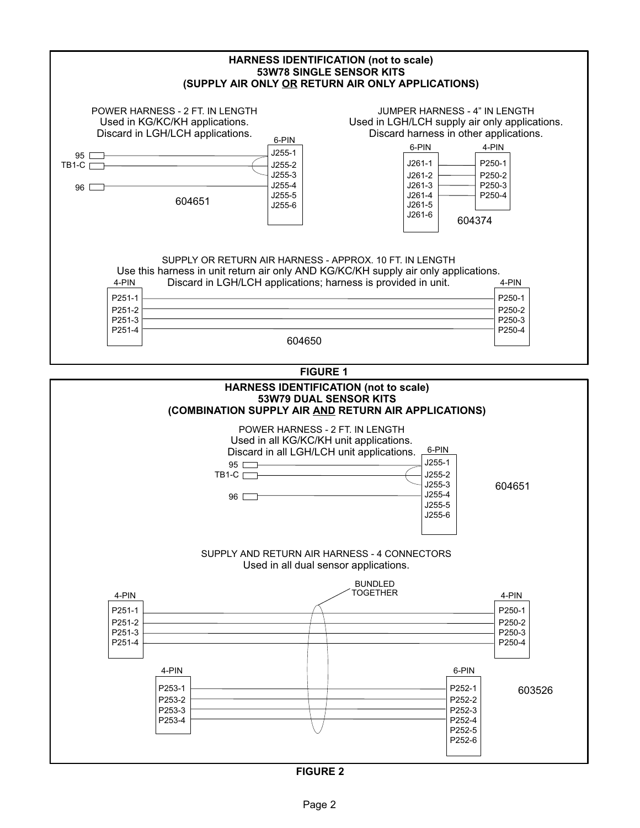<span id="page-1-0"></span>

| JUMPER HARNESS - 4" IN LENGTH<br>POWER HARNESS - 2 FT. IN LENGTH<br>Used in KG/KC/KH applications.<br>Used in LGH/LCH supply air only applications.<br>Discard harness in other applications.<br>Discard in LGH/LCH applications.<br>6-PIN<br>6-PIN<br>4-PIN<br>$J255-1$<br>$95$ $-$<br>P250-1<br>$J261-1$<br>$J255-2$<br>$TB1-C$<br>J255-3<br>P250-2<br>$J261-2$<br>J255-4<br>$J261-3$<br>P250-3<br>$96 \Box$<br>J255-5<br>$J261 - 4$<br>P250-4<br>604651<br>J261-5<br>J255-6<br>J261-6<br>604374 |
|----------------------------------------------------------------------------------------------------------------------------------------------------------------------------------------------------------------------------------------------------------------------------------------------------------------------------------------------------------------------------------------------------------------------------------------------------------------------------------------------------|
|                                                                                                                                                                                                                                                                                                                                                                                                                                                                                                    |
|                                                                                                                                                                                                                                                                                                                                                                                                                                                                                                    |
| SUPPLY OR RETURN AIR HARNESS - APPROX, 10 FT. IN LENGTH<br>Use this harness in unit return air only AND KG/KC/KH supply air only applications.<br>Discard in LGH/LCH applications; harness is provided in unit.<br>4-PIN<br>4-PIN<br>P251-1<br>P250-1<br>P251-2<br>P250-2<br>P251-3<br>P250-3<br>P251-4<br>P250-4<br>604650                                                                                                                                                                        |
| <b>FIGURE 1</b>                                                                                                                                                                                                                                                                                                                                                                                                                                                                                    |
| 53W79 DUAL SENSOR KITS<br>(COMBINATION SUPPLY AIR AND RETURN AIR APPLICATIONS)<br>POWER HARNESS - 2 FT. IN LENGTH<br>Used in all KG/KC/KH unit applications.<br>6-PIN<br>Discard in all LGH/LCH unit applications.<br>$J255-1$<br>$95$ —<br>J255-2<br>$TB1-C$<br>J255-3<br>604651<br>J255-4<br>96<br>J255-5<br>J255-6<br>SUPPLY AND RETURN AIR HARNESS - 4 CONNECTORS<br>Used in all dual sensor applications.<br><b>BUNDLED</b>                                                                   |
| <b>TOGETHER</b><br>4-PIN<br>4-PIN<br>P250-1<br>P251-1<br>P251-2<br>P250-2<br>P251-3<br>P250-3                                                                                                                                                                                                                                                                                                                                                                                                      |
| P251-4<br>P250-4<br>4-PIN<br>6-PIN<br>P253-1<br>P252-1<br>603526<br>P253-2<br>P252-2<br>P253-3<br>P252-3<br>P253-4<br>P252-4<br>P252-5<br>P252-6                                                                                                                                                                                                                                                                                                                                                   |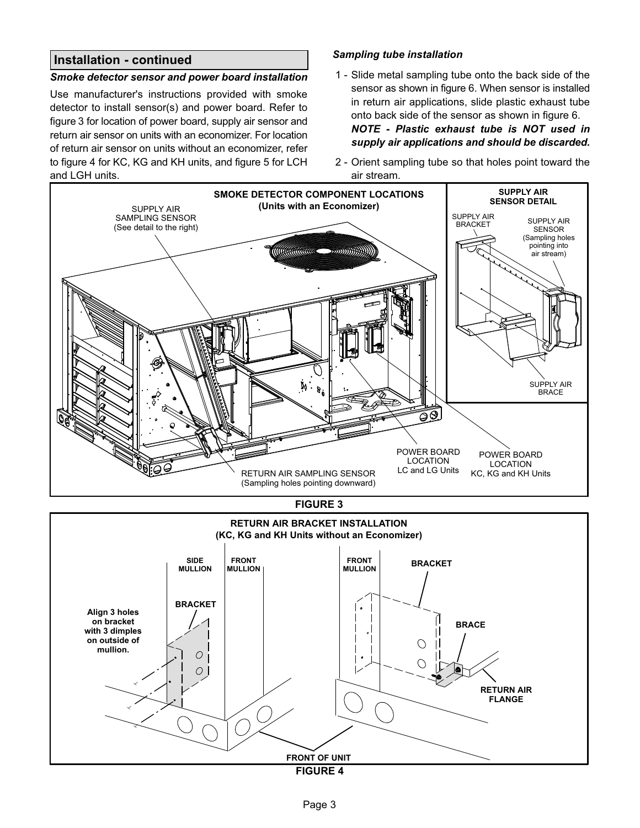## **Installation - continued**

#### *Smoke detector sensor and power board installation*

Use manufacturer's instructions provided with smoke detector to install sensor(s) and power board. Refer to figure 3 for location of power board, supply air sensor and return air sensor on units with an economizer. For location of return air sensor on units without an economizer, refer to figure 4 for KC, KG and KH units, and figure [5](#page-3-0) for LCH and LGH units.

### *Sampling tube installation*

 1 - Slide metal sampling tube onto the back side of the sensor as shown in figure [6.](#page-3-0) When sensor is installed in return air applications, slide plastic exhaust tube onto back side of the sensor as shown in figure [6.](#page-3-0) *NOTE - Plastic exhaust tube is NOT used in*

*supply air applications and should be discarded.*

 2 - Orient sampling tube so that holes point toward the air stream.



**FIGURE 4**

**FRONT OF UNIT**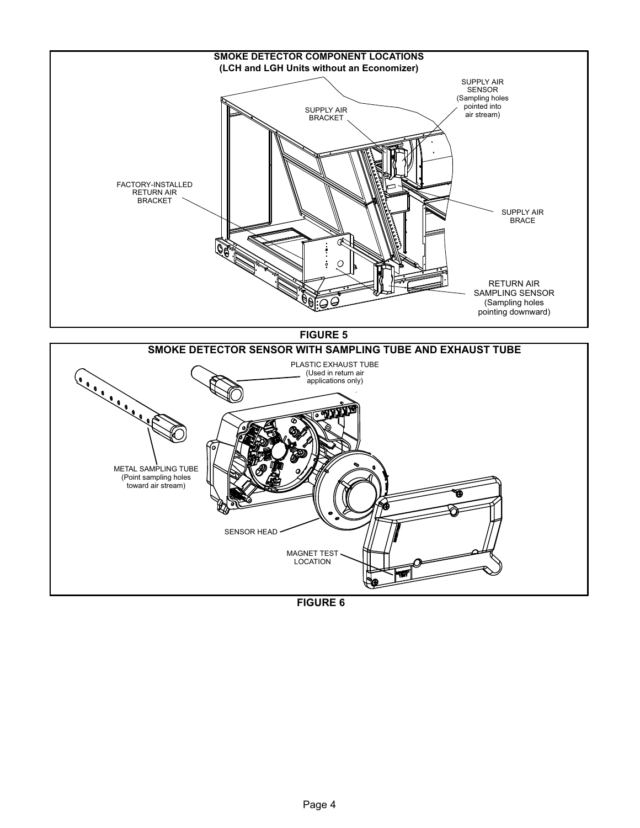<span id="page-3-0"></span>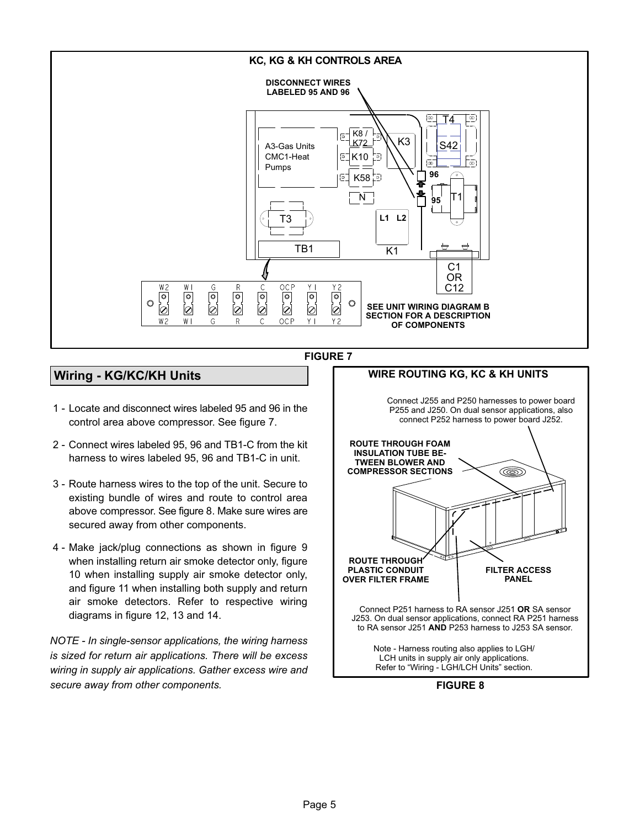<span id="page-4-0"></span>

#### **FIGURE 7**

# **Wiring - KG/KC/KH Units**

- 1 Locate and disconnect wires labeled 95 and 96 in the control area above compressor. See figure 7.
- 2 Connect wires labeled 95, 96 and TB1-C from the kit harness to wires labeled 95, 96 and TB1-C in unit.
- 3 Route harness wires to the top of the unit. Secure to existing bundle of wires and route to control area above compressor. See figure 8. Make sure wires are secured away from other components.
- 4 Make jack/plug connections as shown in figure [9](#page-5-0) when installing return air smoke detector only, figure [10](#page-5-0) when installing supply air smoke detector only, and figure [11](#page-5-0) when installing both supply and return air smoke detectors. Refer to respective wiring diagrams in figure [12](#page-6-0), [13](#page-6-0) and [14](#page-7-0).

*NOTE - In single-sensor applications, the wiring harness is sized for return air applications. There will be excess wiring in supply air applications. Gather excess wire and secure away from other components.* **FIGURE 8**

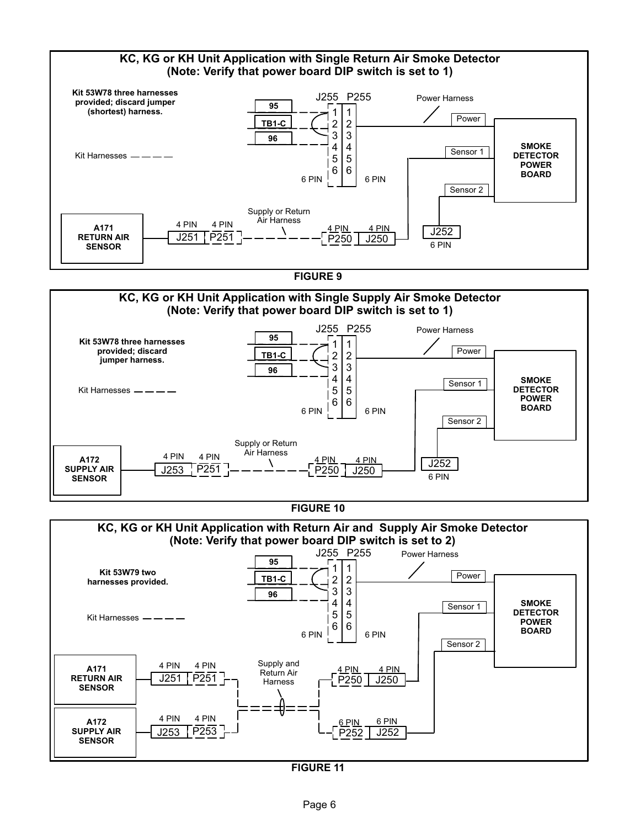<span id="page-5-0"></span>

**FIGURE 11**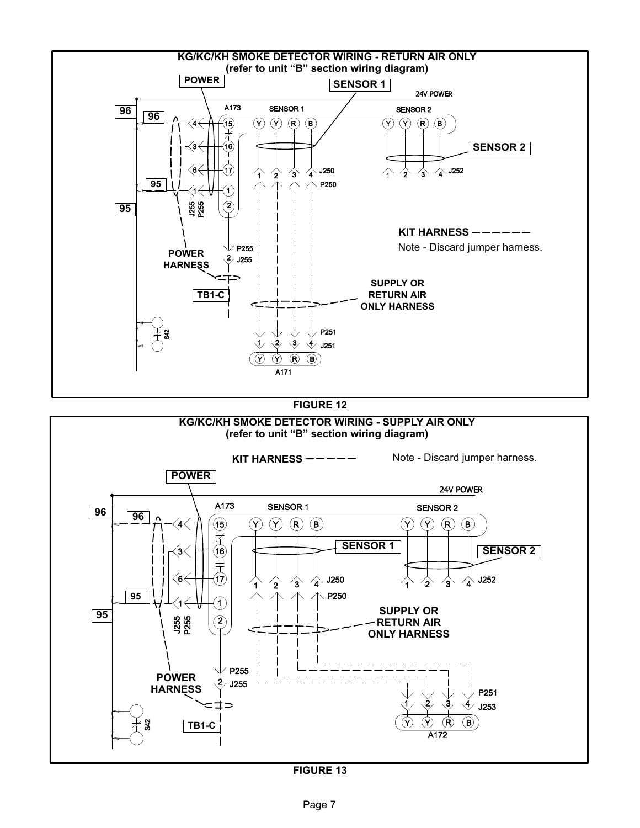<span id="page-6-0"></span>

**FIGURE 13**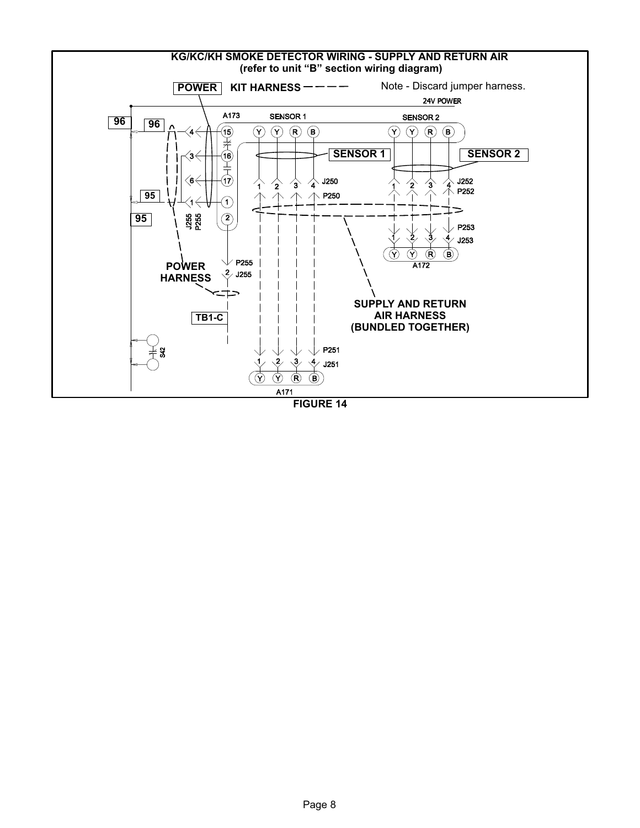<span id="page-7-0"></span>![](_page_7_Figure_0.jpeg)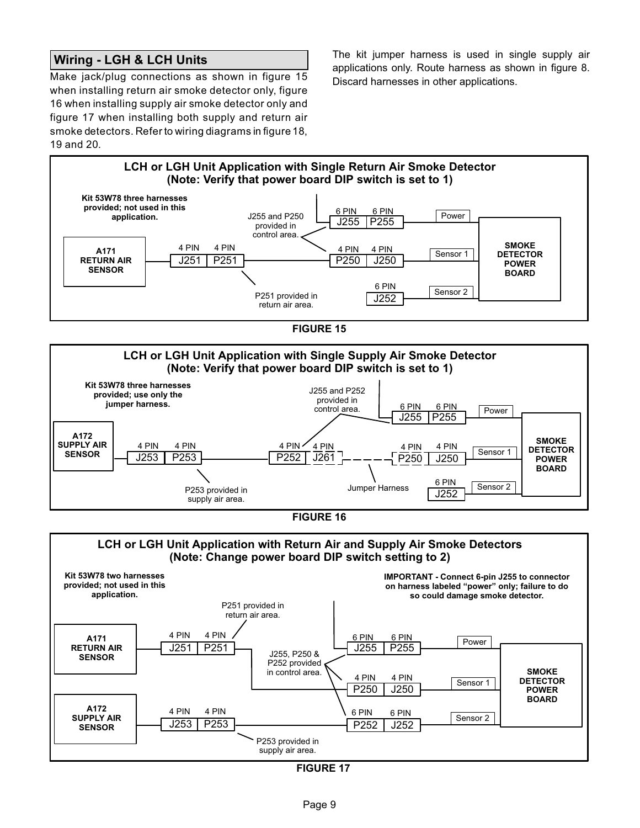## **Wiring - LGH & LCH Units**

Make jack/plug connections as shown in figure 15 when installing return air smoke detector only, figure 16 when installing supply air smoke detector only and figure 17 when installing both supply and return air smoke detectors. Refer to wiring diagrams in figure [18](#page-9-0), [19](#page-9-0) and [20.](#page-10-0)

The kit jumper harness is used in single supply air applications only. Route harness as shown in figure [8.](#page-4-0) Discard harnesses in other applications.

![](_page_8_Figure_3.jpeg)

**FIGURE 15**

![](_page_8_Figure_5.jpeg)

![](_page_8_Figure_6.jpeg)

![](_page_8_Figure_7.jpeg)

**FIGURE 17**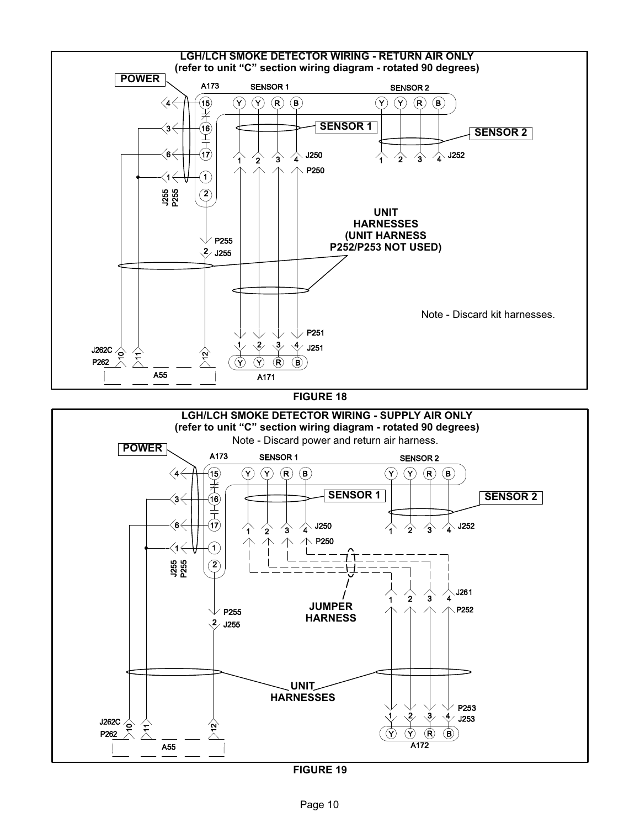<span id="page-9-0"></span>![](_page_9_Figure_0.jpeg)

**FIGURE 19**